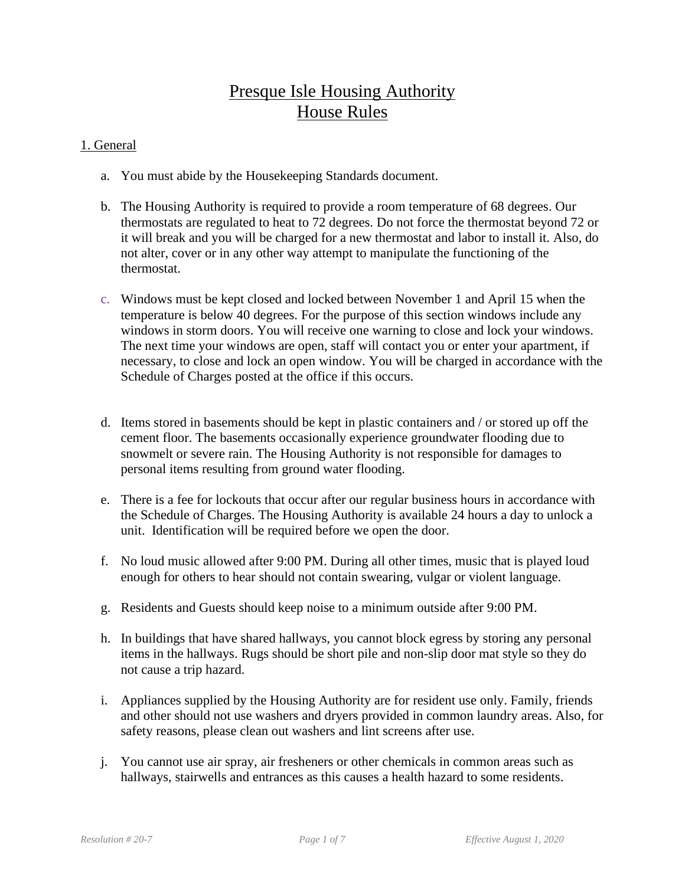# Presque Isle Housing Authority House Rules

## 1. General

- a. You must abide by the Housekeeping Standards document.
- b. The Housing Authority is required to provide a room temperature of 68 degrees. Our thermostats are regulated to heat to 72 degrees. Do not force the thermostat beyond 72 or it will break and you will be charged for a new thermostat and labor to install it. Also, do not alter, cover or in any other way attempt to manipulate the functioning of the thermostat.
- c. Windows must be kept closed and locked between November 1 and April 15 when the temperature is below 40 degrees. For the purpose of this section windows include any windows in storm doors. You will receive one warning to close and lock your windows. The next time your windows are open, staff will contact you or enter your apartment, if necessary, to close and lock an open window. You will be charged in accordance with the Schedule of Charges posted at the office if this occurs.
- d. Items stored in basements should be kept in plastic containers and / or stored up off the cement floor. The basements occasionally experience groundwater flooding due to snowmelt or severe rain. The Housing Authority is not responsible for damages to personal items resulting from ground water flooding.
- e. There is a fee for lockouts that occur after our regular business hours in accordance with the Schedule of Charges. The Housing Authority is available 24 hours a day to unlock a unit. Identification will be required before we open the door.
- f. No loud music allowed after 9:00 PM. During all other times, music that is played loud enough for others to hear should not contain swearing, vulgar or violent language.
- g. Residents and Guests should keep noise to a minimum outside after 9:00 PM.
- h. In buildings that have shared hallways, you cannot block egress by storing any personal items in the hallways. Rugs should be short pile and non-slip door mat style so they do not cause a trip hazard.
- i. Appliances supplied by the Housing Authority are for resident use only. Family, friends and other should not use washers and dryers provided in common laundry areas. Also, for safety reasons, please clean out washers and lint screens after use.
- j. You cannot use air spray, air fresheners or other chemicals in common areas such as hallways, stairwells and entrances as this causes a health hazard to some residents.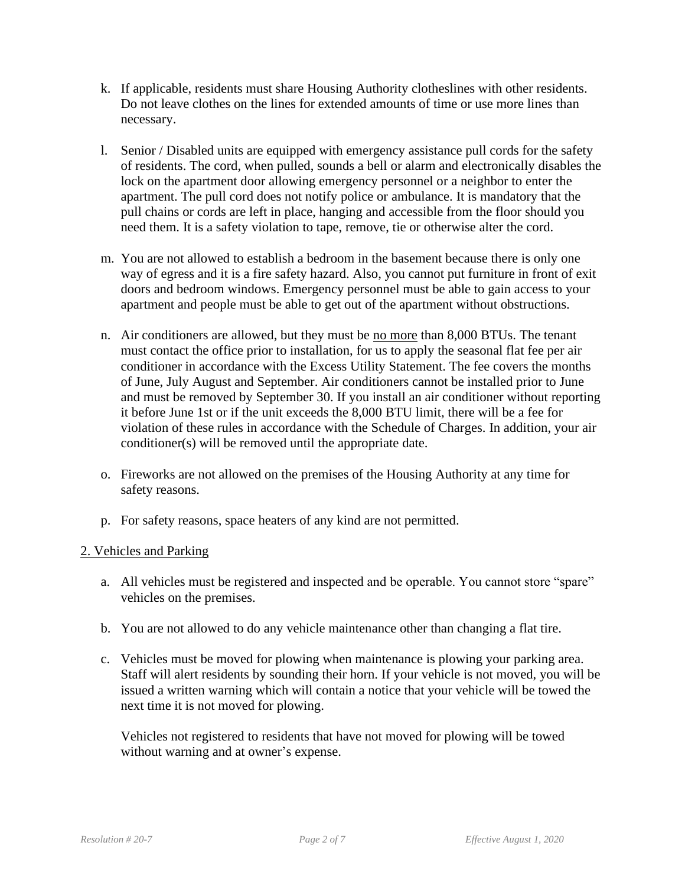- k. If applicable, residents must share Housing Authority clotheslines with other residents. Do not leave clothes on the lines for extended amounts of time or use more lines than necessary.
- l. Senior / Disabled units are equipped with emergency assistance pull cords for the safety of residents. The cord, when pulled, sounds a bell or alarm and electronically disables the lock on the apartment door allowing emergency personnel or a neighbor to enter the apartment. The pull cord does not notify police or ambulance. It is mandatory that the pull chains or cords are left in place, hanging and accessible from the floor should you need them. It is a safety violation to tape, remove, tie or otherwise alter the cord.
- m. You are not allowed to establish a bedroom in the basement because there is only one way of egress and it is a fire safety hazard. Also, you cannot put furniture in front of exit doors and bedroom windows. Emergency personnel must be able to gain access to your apartment and people must be able to get out of the apartment without obstructions.
- n. Air conditioners are allowed, but they must be no more than 8,000 BTUs. The tenant must contact the office prior to installation, for us to apply the seasonal flat fee per air conditioner in accordance with the Excess Utility Statement. The fee covers the months of June, July August and September. Air conditioners cannot be installed prior to June and must be removed by September 30. If you install an air conditioner without reporting it before June 1st or if the unit exceeds the 8,000 BTU limit, there will be a fee for violation of these rules in accordance with the Schedule of Charges. In addition, your air conditioner(s) will be removed until the appropriate date.
- o. Fireworks are not allowed on the premises of the Housing Authority at any time for safety reasons.
- p. For safety reasons, space heaters of any kind are not permitted.

#### 2. Vehicles and Parking

- a. All vehicles must be registered and inspected and be operable. You cannot store "spare" vehicles on the premises.
- b. You are not allowed to do any vehicle maintenance other than changing a flat tire.
- c. Vehicles must be moved for plowing when maintenance is plowing your parking area. Staff will alert residents by sounding their horn. If your vehicle is not moved, you will be issued a written warning which will contain a notice that your vehicle will be towed the next time it is not moved for plowing.

Vehicles not registered to residents that have not moved for plowing will be towed without warning and at owner's expense.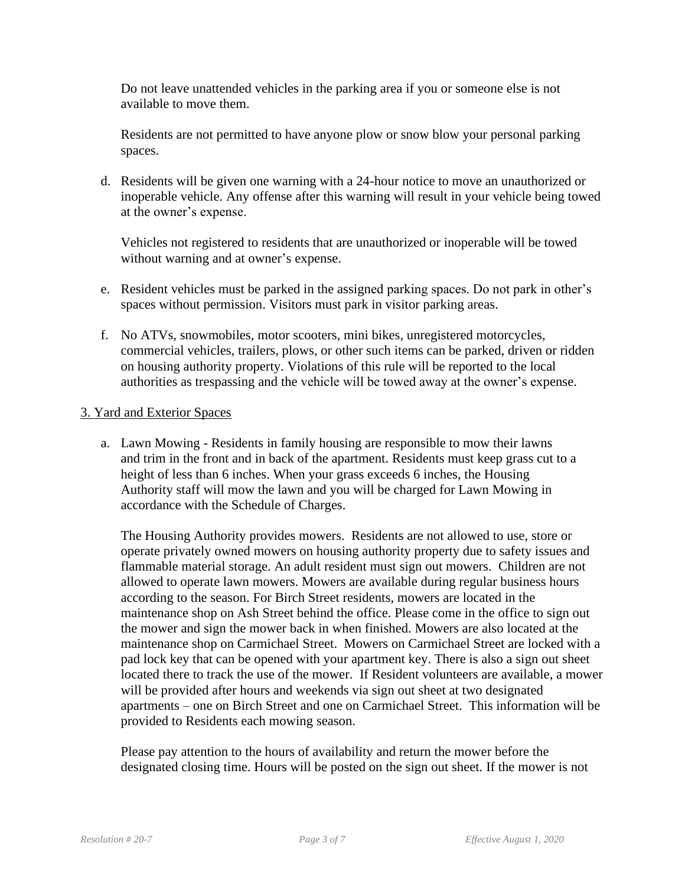Do not leave unattended vehicles in the parking area if you or someone else is not available to move them.

Residents are not permitted to have anyone plow or snow blow your personal parking spaces.

d. Residents will be given one warning with a 24-hour notice to move an unauthorized or inoperable vehicle. Any offense after this warning will result in your vehicle being towed at the owner's expense.

Vehicles not registered to residents that are unauthorized or inoperable will be towed without warning and at owner's expense.

- e. Resident vehicles must be parked in the assigned parking spaces. Do not park in other's spaces without permission. Visitors must park in visitor parking areas.
- f. No ATVs, snowmobiles, motor scooters, mini bikes, unregistered motorcycles, commercial vehicles, trailers, plows, or other such items can be parked, driven or ridden on housing authority property. Violations of this rule will be reported to the local authorities as trespassing and the vehicle will be towed away at the owner's expense.

### 3. Yard and Exterior Spaces

a. Lawn Mowing - Residents in family housing are responsible to mow their lawns and trim in the front and in back of the apartment. Residents must keep grass cut to a height of less than 6 inches. When your grass exceeds 6 inches, the Housing Authority staff will mow the lawn and you will be charged for Lawn Mowing in accordance with the Schedule of Charges.

The Housing Authority provides mowers. Residents are not allowed to use, store or operate privately owned mowers on housing authority property due to safety issues and flammable material storage. An adult resident must sign out mowers. Children are not allowed to operate lawn mowers. Mowers are available during regular business hours according to the season. For Birch Street residents, mowers are located in the maintenance shop on Ash Street behind the office. Please come in the office to sign out the mower and sign the mower back in when finished. Mowers are also located at the maintenance shop on Carmichael Street. Mowers on Carmichael Street are locked with a pad lock key that can be opened with your apartment key. There is also a sign out sheet located there to track the use of the mower. If Resident volunteers are available, a mower will be provided after hours and weekends via sign out sheet at two designated apartments – one on Birch Street and one on Carmichael Street. This information will be provided to Residents each mowing season.

Please pay attention to the hours of availability and return the mower before the designated closing time. Hours will be posted on the sign out sheet. If the mower is not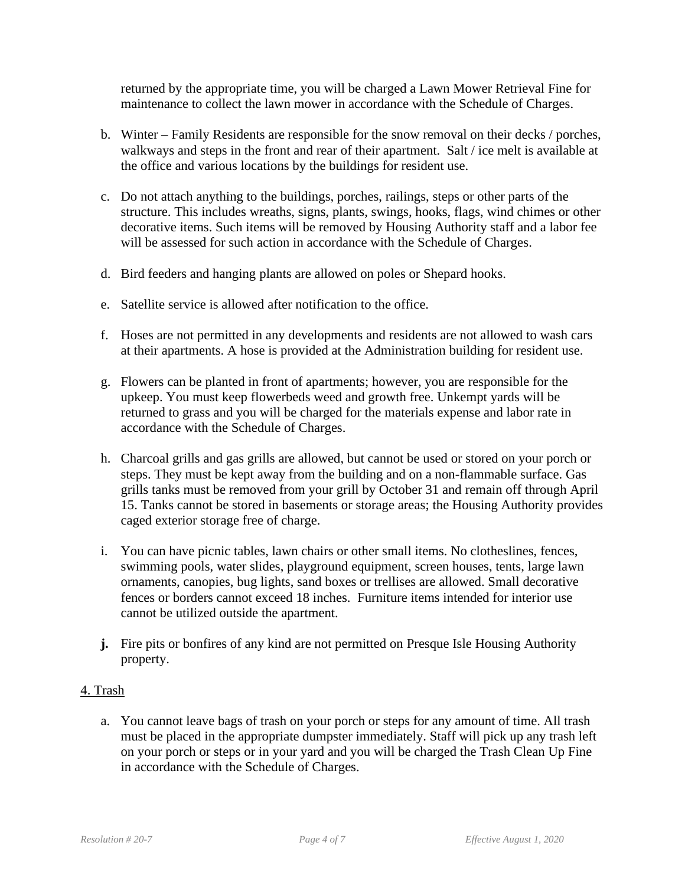returned by the appropriate time, you will be charged a Lawn Mower Retrieval Fine for maintenance to collect the lawn mower in accordance with the Schedule of Charges.

- b. Winter Family Residents are responsible for the snow removal on their decks / porches, walkways and steps in the front and rear of their apartment. Salt / ice melt is available at the office and various locations by the buildings for resident use.
- c. Do not attach anything to the buildings, porches, railings, steps or other parts of the structure. This includes wreaths, signs, plants, swings, hooks, flags, wind chimes or other decorative items. Such items will be removed by Housing Authority staff and a labor fee will be assessed for such action in accordance with the Schedule of Charges.
- d. Bird feeders and hanging plants are allowed on poles or Shepard hooks.
- e. Satellite service is allowed after notification to the office.
- f. Hoses are not permitted in any developments and residents are not allowed to wash cars at their apartments. A hose is provided at the Administration building for resident use.
- g. Flowers can be planted in front of apartments; however, you are responsible for the upkeep. You must keep flowerbeds weed and growth free. Unkempt yards will be returned to grass and you will be charged for the materials expense and labor rate in accordance with the Schedule of Charges.
- h. Charcoal grills and gas grills are allowed, but cannot be used or stored on your porch or steps. They must be kept away from the building and on a non-flammable surface. Gas grills tanks must be removed from your grill by October 31 and remain off through April 15. Tanks cannot be stored in basements or storage areas; the Housing Authority provides caged exterior storage free of charge.
- i. You can have picnic tables, lawn chairs or other small items. No clotheslines, fences, swimming pools, water slides, playground equipment, screen houses, tents, large lawn ornaments, canopies, bug lights, sand boxes or trellises are allowed. Small decorative fences or borders cannot exceed 18 inches. Furniture items intended for interior use cannot be utilized outside the apartment.
- **j.** Fire pits or bonfires of any kind are not permitted on Presque Isle Housing Authority property.

#### 4. Trash

a. You cannot leave bags of trash on your porch or steps for any amount of time. All trash must be placed in the appropriate dumpster immediately. Staff will pick up any trash left on your porch or steps or in your yard and you will be charged the Trash Clean Up Fine in accordance with the Schedule of Charges.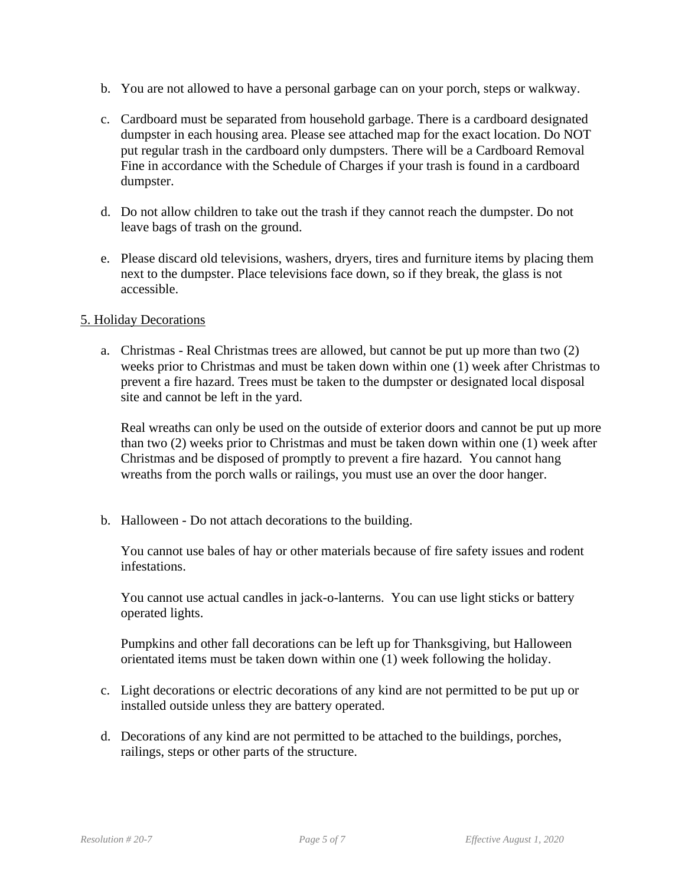- b. You are not allowed to have a personal garbage can on your porch, steps or walkway.
- c. Cardboard must be separated from household garbage. There is a cardboard designated dumpster in each housing area. Please see attached map for the exact location. Do NOT put regular trash in the cardboard only dumpsters. There will be a Cardboard Removal Fine in accordance with the Schedule of Charges if your trash is found in a cardboard dumpster.
- d. Do not allow children to take out the trash if they cannot reach the dumpster. Do not leave bags of trash on the ground.
- e. Please discard old televisions, washers, dryers, tires and furniture items by placing them next to the dumpster. Place televisions face down, so if they break, the glass is not accessible.

#### 5. Holiday Decorations

a. Christmas - Real Christmas trees are allowed, but cannot be put up more than two (2) weeks prior to Christmas and must be taken down within one (1) week after Christmas to prevent a fire hazard. Trees must be taken to the dumpster or designated local disposal site and cannot be left in the yard.

Real wreaths can only be used on the outside of exterior doors and cannot be put up more than two (2) weeks prior to Christmas and must be taken down within one (1) week after Christmas and be disposed of promptly to prevent a fire hazard. You cannot hang wreaths from the porch walls or railings, you must use an over the door hanger.

b. Halloween - Do not attach decorations to the building.

You cannot use bales of hay or other materials because of fire safety issues and rodent infestations.

You cannot use actual candles in jack-o-lanterns. You can use light sticks or battery operated lights.

Pumpkins and other fall decorations can be left up for Thanksgiving, but Halloween orientated items must be taken down within one (1) week following the holiday.

- c. Light decorations or electric decorations of any kind are not permitted to be put up or installed outside unless they are battery operated.
- d. Decorations of any kind are not permitted to be attached to the buildings, porches, railings, steps or other parts of the structure.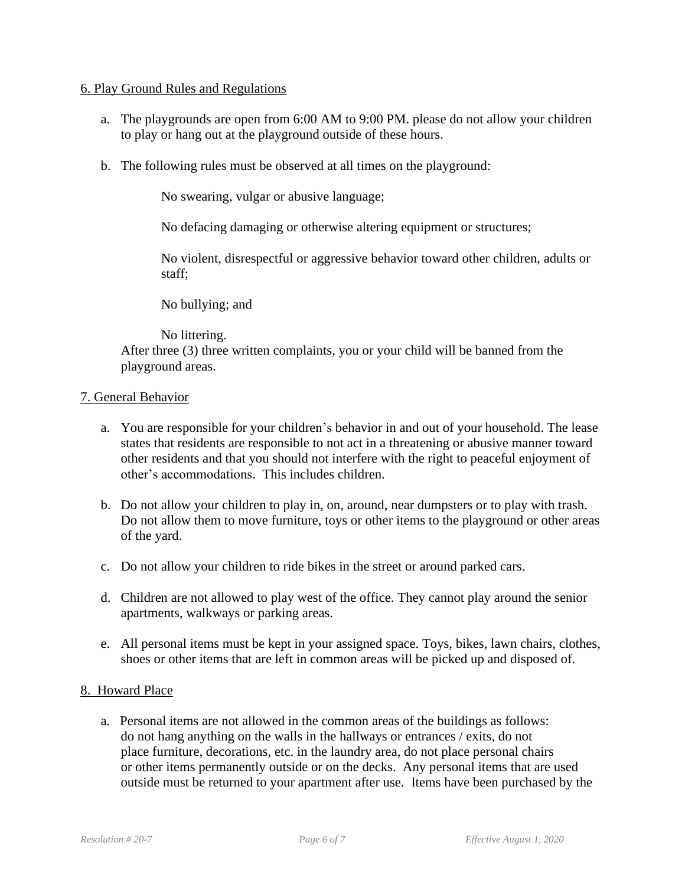#### 6. Play Ground Rules and Regulations

- a. The playgrounds are open from 6:00 AM to 9:00 PM. please do not allow your children to play or hang out at the playground outside of these hours.
- b. The following rules must be observed at all times on the playground:

No swearing, vulgar or abusive language;

No defacing damaging or otherwise altering equipment or structures;

No violent, disrespectful or aggressive behavior toward other children, adults or staff;

No bullying; and

No littering. After three (3) three written complaints, you or your child will be banned from the playground areas.

# 7. General Behavior

- a. You are responsible for your children's behavior in and out of your household. The lease states that residents are responsible to not act in a threatening or abusive manner toward other residents and that you should not interfere with the right to peaceful enjoyment of other's accommodations. This includes children.
- b. Do not allow your children to play in, on, around, near dumpsters or to play with trash. Do not allow them to move furniture, toys or other items to the playground or other areas of the yard.
- c. Do not allow your children to ride bikes in the street or around parked cars.
- d. Children are not allowed to play west of the office. They cannot play around the senior apartments, walkways or parking areas.
- e. All personal items must be kept in your assigned space. Toys, bikes, lawn chairs, clothes, shoes or other items that are left in common areas will be picked up and disposed of.

#### 8. Howard Place

 a. Personal items are not allowed in the common areas of the buildings as follows: do not hang anything on the walls in the hallways or entrances / exits, do not place furniture, decorations, etc. in the laundry area, do not place personal chairs or other items permanently outside or on the decks. Any personal items that are used outside must be returned to your apartment after use. Items have been purchased by the